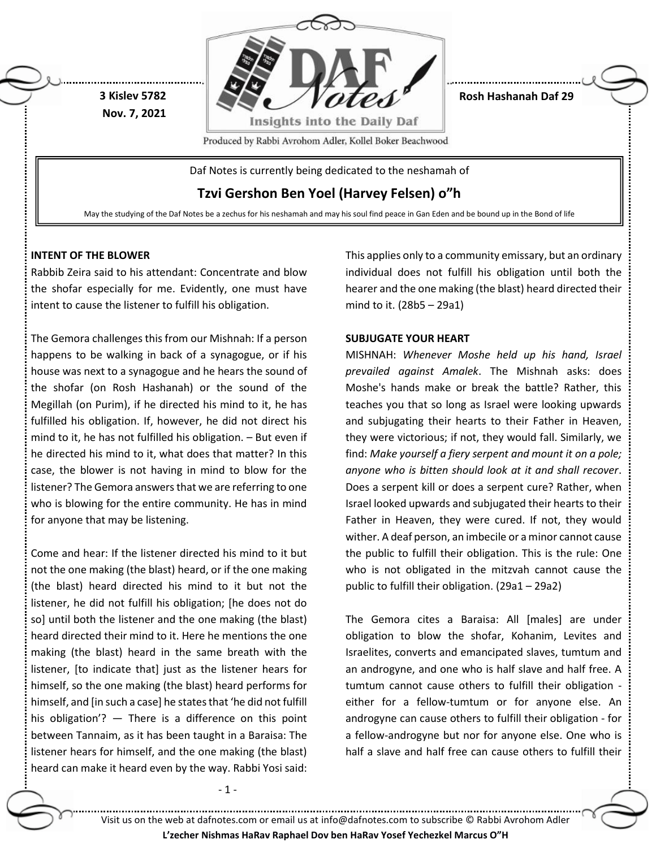

**Tzvi Gershon Ben Yoel (Harvey Felsen) o"h**

May the studying of the Daf Notes be a zechus for his neshamah and may his soul find peace in Gan Eden and be bound up in the Bond of life

# **INTENT OF THE BLOWER**

Rabbib Zeira said to his attendant: Concentrate and blow the shofar especially for me. Evidently, one must have intent to cause the listener to fulfill his obligation.

The Gemora challenges this from our Mishnah: If a person happens to be walking in back of a synagogue, or if his house was next to a synagogue and he hears the sound of the shofar (on Rosh Hashanah) or the sound of the Megillah (on Purim), if he directed his mind to it, he has fulfilled his obligation. If, however, he did not direct his mind to it, he has not fulfilled his obligation. – But even if he directed his mind to it, what does that matter? In this case, the blower is not having in mind to blow for the listener? The Gemora answers that we are referring to one who is blowing for the entire community. He has in mind for anyone that may be listening.

Come and hear: If the listener directed his mind to it but not the one making (the blast) heard, or if the one making (the blast) heard directed his mind to it but not the listener, he did not fulfill his obligation; [he does not do so] until both the listener and the one making (the blast) heard directed their mind to it. Here he mentions the one making (the blast) heard in the same breath with the listener, [to indicate that] just as the listener hears for himself, so the one making (the blast) heard performs for himself, and [in such a case] he states that 'he did not fulfill his obligation'? — There is a difference on this point between Tannaim, as it has been taught in a Baraisa: The listener hears for himself, and the one making (the blast) heard can make it heard even by the way. Rabbi Yosi said:

- 1 -

This applies only to a community emissary, but an ordinary individual does not fulfill his obligation until both the hearer and the one making (the blast) heard directed their mind to it. (28b5 – 29a1)

## **SUBJUGATE YOUR HEART**

MISHNAH: *Whenever Moshe held up his hand, Israel prevailed against Amalek*. The Mishnah asks: does Moshe's hands make or break the battle? Rather, this teaches you that so long as Israel were looking upwards and subjugating their hearts to their Father in Heaven, they were victorious; if not, they would fall. Similarly, we find: *Make yourself a fiery serpent and mount it on a pole; anyone who is bitten should look at it and shall recover*. Does a serpent kill or does a serpent cure? Rather, when Israel looked upwards and subjugated their hearts to their Father in Heaven, they were cured. If not, they would wither. A deaf person, an imbecile or a minor cannot cause the public to fulfill their obligation. This is the rule: One who is not obligated in the mitzvah cannot cause the public to fulfill their obligation. (29a1 – 29a2)

The Gemora cites a Baraisa: All [males] are under obligation to blow the shofar, Kohanim, Levites and Israelites, converts and emancipated slaves, tumtum and an androgyne, and one who is half slave and half free. A tumtum cannot cause others to fulfill their obligation either for a fellow-tumtum or for anyone else. An androgyne can cause others to fulfill their obligation - for a fellow-androgyne but nor for anyone else. One who is half a slave and half free can cause others to fulfill their

Visit us on the web at dafnotes.com or email us at [info@dafnotes.com](mailto:info@dafnotes.com) to subscribe © Rabbi Avrohom Adler

**L'zecher Nishmas HaRav Raphael Dov ben HaRav Yosef Yechezkel Marcus O"H**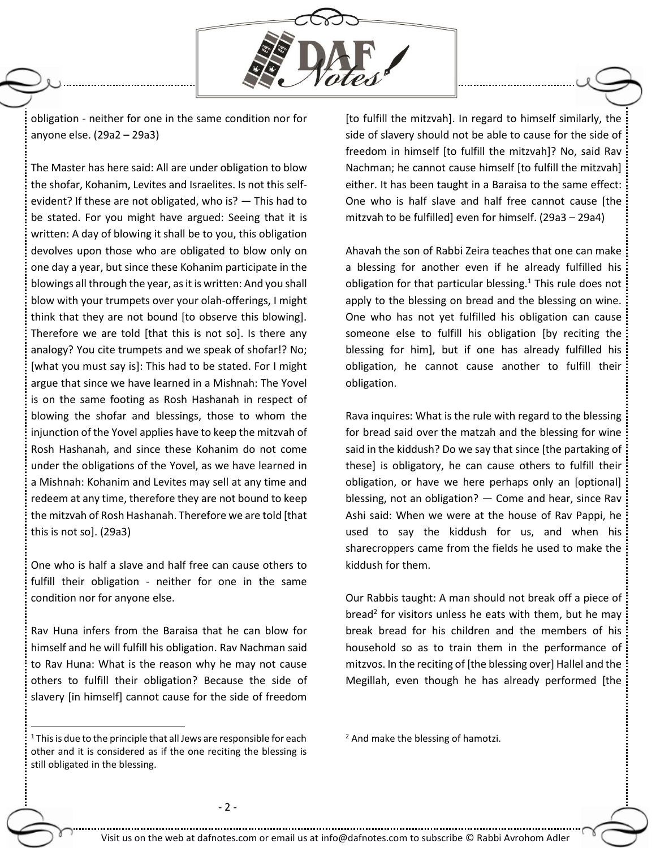

obligation - neither for one in the same condition nor for anyone else. (29a2 – 29a3)

The Master has here said: All are under obligation to blow the shofar, Kohanim, Levites and Israelites. Is not this selfevident? If these are not obligated, who is? — This had to be stated. For you might have argued: Seeing that it is written: A day of blowing it shall be to you, this obligation devolves upon those who are obligated to blow only on one day a year, but since these Kohanim participate in the blowings all through the year, as it is written: And you shall blow with your trumpets over your olah-offerings, I might think that they are not bound [to observe this blowing]. Therefore we are told [that this is not so]. Is there any analogy? You cite trumpets and we speak of shofar!? No; [what you must say is]: This had to be stated. For I might argue that since we have learned in a Mishnah: The Yovel is on the same footing as Rosh Hashanah in respect of blowing the shofar and blessings, those to whom the injunction of the Yovel applies have to keep the mitzvah of Rosh Hashanah, and since these Kohanim do not come under the obligations of the Yovel, as we have learned in a Mishnah: Kohanim and Levites may sell at any time and redeem at any time, therefore they are not bound to keep the mitzvah of Rosh Hashanah. Therefore we are told [that this is not so]. (29a3)

One who is half a slave and half free can cause others to fulfill their obligation - neither for one in the same condition nor for anyone else.

Rav Huna infers from the Baraisa that he can blow for himself and he will fulfill his obligation. Rav Nachman said to Rav Huna: What is the reason why he may not cause others to fulfill their obligation? Because the side of slavery [in himself] cannot cause for the side of freedom

 $1$  This is due to the principle that all Jews are responsible for each other and it is considered as if the one reciting the blessing is still obligated in the blessing.

 $\ddot{\phantom{a}}$ 

[to fulfill the mitzvah]. In regard to himself similarly, the side of slavery should not be able to cause for the side of freedom in himself [to fulfill the mitzvah]? No, said Rav Nachman; he cannot cause himself [to fulfill the mitzvah] either. It has been taught in a Baraisa to the same effect: One who is half slave and half free cannot cause [the mitzvah to be fulfilled] even for himself. (29a3 – 29a4)

Ahavah the son of Rabbi Zeira teaches that one can make a blessing for another even if he already fulfilled his obligation for that particular blessing. $1$  This rule does not apply to the blessing on bread and the blessing on wine. One who has not yet fulfilled his obligation can cause someone else to fulfill his obligation [by reciting the blessing for him], but if one has already fulfilled his obligation, he cannot cause another to fulfill their obligation.

Rava inquires: What is the rule with regard to the blessing for bread said over the matzah and the blessing for wine said in the kiddush? Do we say that since [the partaking of these] is obligatory, he can cause others to fulfill their obligation, or have we here perhaps only an [optional] blessing, not an obligation? — Come and hear, since Rav Ashi said: When we were at the house of Rav Pappi, he used to say the kiddush for us, and when his sharecroppers came from the fields he used to make the kiddush for them.

Our Rabbis taught: A man should not break off a piece of bread<sup>2</sup> for visitors unless he eats with them, but he may break bread for his children and the members of his household so as to train them in the performance of mitzvos. In the reciting of [the blessing over] Hallel and the Megillah, even though he has already performed [the

<sup>&</sup>lt;sup>2</sup> And make the blessing of hamotzi.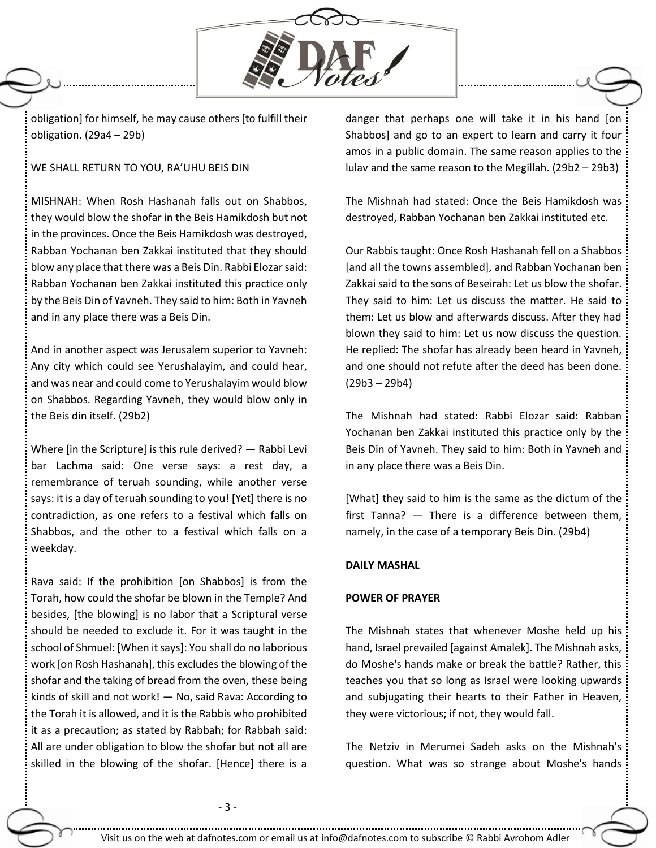

obligation] for himself, he may cause others [to fulfill their obligation. (29a4 – 29b)

#### WE SHALL RETURN TO YOU, RA'UHU BEIS DIN

MISHNAH: When Rosh Hashanah falls out on Shabbos, they would blow the shofar in the Beis Hamikdosh but not in the provinces. Once the Beis Hamikdosh was destroyed, Rabban Yochanan ben Zakkai instituted that they should blow any place that there was a Beis Din. Rabbi Elozar said: Rabban Yochanan ben Zakkai instituted this practice only by the Beis Din of Yavneh. They said to him: Both in Yavneh and in any place there was a Beis Din.

And in another aspect was Jerusalem superior to Yavneh: Any city which could see Yerushalayim, and could hear, and was near and could come to Yerushalayim would blow on Shabbos. Regarding Yavneh, they would blow only in the Beis din itself. (29b2)

Where [in the Scripture] is this rule derived? — Rabbi Levi bar Lachma said: One verse says: a rest day, a remembrance of teruah sounding, while another verse says: it is a day of teruah sounding to you! [Yet] there is no contradiction, as one refers to a festival which falls on Shabbos, and the other to a festival which falls on a weekday.

Rava said: If the prohibition [on Shabbos] is from the Torah, how could the shofar be blown in the Temple? And besides, [the blowing] is no labor that a Scriptural verse should be needed to exclude it. For it was taught in the school of Shmuel: [When it says]: You shall do no laborious work [on Rosh Hashanah], this excludes the blowing of the shofar and the taking of bread from the oven, these being kinds of skill and not work! — No, said Rava: According to the Torah it is allowed, and it is the Rabbis who prohibited it as a precaution; as stated by Rabbah; for Rabbah said: All are under obligation to blow the shofar but not all are skilled in the blowing of the shofar. [Hence] there is a danger that perhaps one will take it in his hand [on Shabbos] and go to an expert to learn and carry it four amos in a public domain. The same reason applies to the lulav and the same reason to the Megillah. (29b2 – 29b3)

The Mishnah had stated: Once the Beis Hamikdosh was destroyed, Rabban Yochanan ben Zakkai instituted etc.

Our Rabbis taught: Once Rosh Hashanah fell on a Shabbos [and all the towns assembled], and Rabban Yochanan ben Zakkai said to the sons of Beseirah: Let us blow the shofar. They said to him: Let us discuss the matter. He said to them: Let us blow and afterwards discuss. After they had blown they said to him: Let us now discuss the question. He replied: The shofar has already been heard in Yavneh, and one should not refute after the deed has been done. (29b3 – 29b4)

The Mishnah had stated: Rabbi Elozar said: Rabban Yochanan ben Zakkai instituted this practice only by the Beis Din of Yavneh. They said to him: Both in Yavneh and in any place there was a Beis Din.

[What] they said to him is the same as the dictum of the first Tanna? — There is a difference between them, namely, in the case of a temporary Beis Din. (29b4)

## **DAILY MASHAL**

#### **POWER OF PRAYER**

The Mishnah states that whenever Moshe held up his hand, Israel prevailed [against Amalek]. The Mishnah asks, do Moshe's hands make or break the battle? Rather, this teaches you that so long as Israel were looking upwards and subjugating their hearts to their Father in Heaven, they were victorious; if not, they would fall.

The Netziv in Merumei Sadeh asks on the Mishnah's question. What was so strange about Moshe's hands